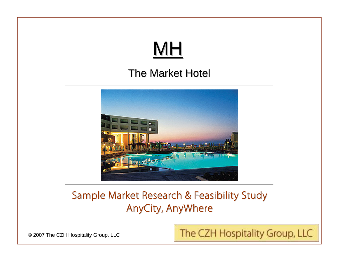# MH

### The Market Hotel



### Sample Market Research & Feasibility Study AnyCity, AnyWhere

© 2007 The CZH Hospitality Group, LLC

The CZH Hospitality Group, LLC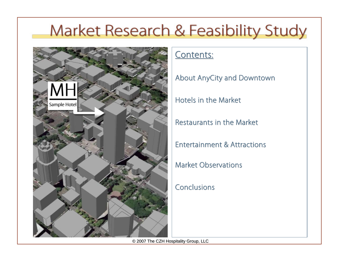

### Contents:

About AnyCity and Downtown

Hotels in the Market

Restaurants in the Market

Entertainment & Attractions

Market Observations

Conclusions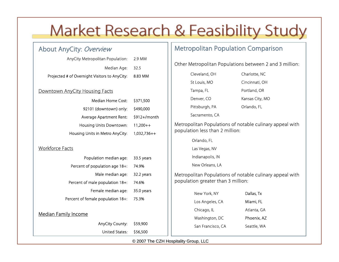### About AnyCity: Overview

| AnyCity Metropolitan Population:              | 2.9 MM  |
|-----------------------------------------------|---------|
| Median Age: 32.5                              |         |
| Projected # of Overnight Visitors to AnyCity: | 8.83 MM |
|                                               |         |

#### Downtown AnyCity Housing Facts

| Median Home Cost:               | \$371,500     |
|---------------------------------|---------------|
| 92101 (downtown) only:          | \$490,000     |
| Average Apartment Rent:         | \$912+/month  |
| Housing Units Downtown:         | $11,200++$    |
| Housing Units in Metro AnyCity: | $1,032,736++$ |

#### Workforce Facts

| Population median age:            | 33.5 years |
|-----------------------------------|------------|
| Percent of population age 18+:    | 74.9%      |
| Male median age:                  | 32.2 years |
| Percent of male population 18+:   | 74.6%      |
| Female median age:                | 35.0 years |
| Percent of female population 18+: | 75.3%      |
| <b>Median Family Income</b>       |            |
| AnyCity County:                   | \$59,900   |
| United States.                    | \$56,500   |

### Metropolitan Population Comparison

Other Metropolitan Populations between 2 and 3 million:

Cleveland, OH Charlotte, NC St Louis, MO Cincinnati, OH Tampa, FL Denver, CO Pittsburgh, PA Sacramento, CA

Portland, OR Kansas City, MO

Orlando, FL

Metropolitan Populations of notable culinary appeal with population less than 2 million:

Orlando, FL

Las Vegas, NV

Indianapolis, IN

New Orleans, LA

Metropolitan Populations of notable culinary appeal with population greater than 3 million:

| New York, NY      | Dallas, Tx  |
|-------------------|-------------|
| Los Angeles, CA   | Miami, FL   |
| Chicago, IL       | Atlanta, GA |
| Washington, DC    | Phoenix, AZ |
| San Francisco, CA | Seattle, WA |
|                   |             |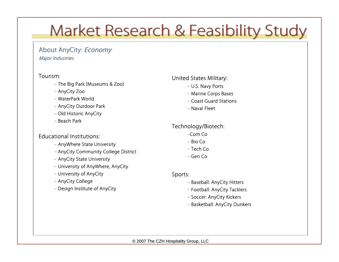#### About AnyCity: Economy **Major Industries**

#### Tourism:

- The Big Park (Museums & Zoo)
- AnyCity Zoo
- WaterPark World
- AnyCity Outdoor Park
- Old Historic AnyCity
- Beach Park

#### Educational Institutions:

- AnyWhere State University
- AnyCity Community College District
- AnyCity State University
- University of AnyWhere, AnyCity
- University of AnyCity
- AnyCity College
- Design Institute of AnyCity

#### United States Military:

- U.S. Navy Ports
- Marine Corps Bases
- Coast Guard Stations
- Naval Fleet

### Technology/Biotech:

- –Com Co
- Bio Co
- Tech Co
- Gen Co

#### Sports:

- Baseball: AnyCity Hitters
- Football: AnyCity Tacklers
- Soccer: AnyCity Kickers
- Basketball: AnyCity Dunkers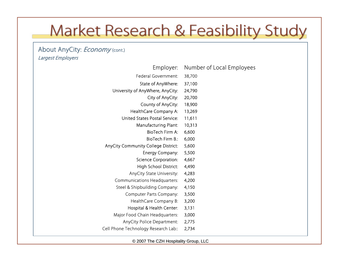#### About AnyCity: *Economy* (cont.) Largest Employers

| Employer:                            | Number of Local Employees |
|--------------------------------------|---------------------------|
| <b>Federal Government:</b>           | 38,700                    |
| State of AnyWhere:                   | 37,100                    |
| University of AnyWhere, AnyCity:     | 24,790                    |
| City of AnyCity:                     | 20,700                    |
| County of AnyCity:                   | 18,900                    |
| HealthCare Company A:                | 13,269                    |
| <b>United States Postal Service:</b> | 11,611                    |
| Manufacturing Plant:                 | 10,313                    |
| BioTech Firm A:                      | 6,600                     |
| BioTech Firm B.:                     | 6,000                     |
| AnyCity Community College District:  | 5,600                     |
| Energy Company:                      | 5,500                     |
| Science Corporation:                 | 4,667                     |
| High School District:                | 4,490                     |
| AnyCity State University:            | 4,283                     |
| <b>Communications Headquarters:</b>  | 4,200                     |
| Steel & Shipbuilding Company:        | 4,150                     |
| <b>Computer Parts Company:</b>       | 3,500                     |
| HealthCare Company B:                | 3,200                     |
| Hospital & Health Center:            | 3,131                     |
| Major Food Chain Headquarters:       | 3,000                     |
| AnyCity Police Department:           | 2,775                     |
| Cell Phone Technology Research Lab:: | 2,734                     |
|                                      |                           |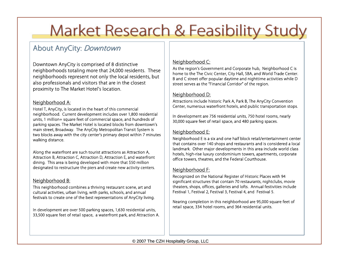### About AnyCity: Downtown

Downtown AnyCity is comprised of 8 distinctive neighborhoods totaling more that 24,000 residents. These neighborhoods represent not only the local residents, but also professionals and visitors that are in the closest proximity to The Market Hotel's location.

#### Neighborhood A:

Hotel T, AnyCity, is located in the heart of this commercial neighborhood. Current development includes over 1,800 residential units, 1 million+ square feet of commercial space, and hundreds of parking spaces. The Market Hotel is located blocks from downtown's main street, Broadway. The AnyCity Metropolitan Transit System is two blocks away with the city center's primary depot within 7 minutes walking distance.

Along the waterfront are such tourist attractions as Attraction A, Attraction B, Attraction C, Attraction D, Attraction E, and waterfront dining. This area is being developed with more that \$50 million designated to restructure the piers and create new activity centers.

#### Neighborhood B:

This neighborhood combines a thriving restaurant scene, art and cultural activities, urban living, with parks, schools, and annual festivals to create one of the best representations of AnyCity living.

In development are over 500 parking spaces, 1,630 residential units, 33,500 square feet of retail space, a waterfront park, and Attraction A.

#### Neighborhood C:

As the region's Government and Corporate hub, Neighborhood C is home to the The Civic Center, City Hall, SBA, and World Trade Center. B and C street offer popular daytime and nighttime activities while D street serves as the "Financial Corridor" of the region.

#### Neighborhood D:

Attractions include historic Park A, Park B, The AnyCity Convention Center, numerous waterfront hotels, and public transportation stops.

In development are 756 residential units, 750 hotel rooms, nearly 30,000 square feet of retail space, and 480 parking spaces.

#### Neighborhood E:

Neighborhood E is a six and one half block retail/entertainment center that contains over 140 shops and restaurants and is considered a local landmark. Other major developments in this area include world class hotels, high-rise luxury condominium towers, apartments, corporate office towers, theatres, and the Federal Courthouse.

#### Neighborhood F:

Recognized on the National Register of Historic Places with 94 significant structures that contain 70 restaurants, nightclubs, movie theaters, shops, offices, galleries and lofts. Annual festivities include Festival 1, Festival 2, Festival 3, Festival 4, and Festival 5.

Nearing completion in this neighborhood are 95,000 square feet of retail space, 334 hotel rooms, and 364 residential units.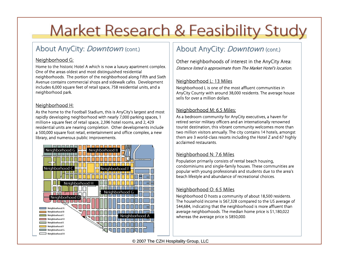### About AnyCity: *Downtown* (cont.)

#### Neighborhood G:

Home to the historic Hotel A which is now a luxury apartment complex. One of the areas oldest and most distinguished residential neighborhoods. The portion of the neighborhood along Fifth and Sixth Avenue contains commercial shops and sidewalk cafes. Development includes 6,000 square feet of retail space, 758 residential units, and a neighborhood park.

#### Neighborhood H:

As the home to the Football Stadium, this is AnyCity's largest and most rapidly developing neighborhood with nearly 7,000 parking spaces, 1 million+ square feet of retail space, 2,396 hotel rooms, and 2, 429 residential units are nearing completion. Other developments include a 500,000 square foot retail, entertainment and office complex, a new library, and numerous public improvements.



### About AnyCity: *Downtown* (cont.)

Other neighborhoods of interest in the AnyCity Area: Distance listed is approximate from The Market Hotel's location.

#### Neighborhood L: 13 Miles

Neighborhood L is one of the most affluent communities in AnyCity County with around 38,000 residents. The average house sells for over a million dollars.

#### Neighborhood M: 6.5 Miles:

As a bedroom community for AnyCity executives, a haven for retired senior military officers and an internationally renowned tourist destination, this vibrant community welcomes more than two million visitors annually. The city contains 14 hotels, amongst them are 3 world-class resorts including the Hotel Z and 67 highly acclaimed restaurants.

#### Neighborhood N: 7.6 Miles

Population primarily consists of rental beach housing, condominiums and single-family houses. These communities are popular with young professionals and students due to the area's beach lifestyle and abundance of recreational choices.

#### Neighborhood O: 6.5 Miles

Neighborhood O hosts a community of about 18,500 residents. The household income is \$67,328 compared to the US average of \$44,684, indicating that the neighborhood is more affluent than average neighborhoods. The median home price is \$1,180,022 whereas the average price is \$850,000.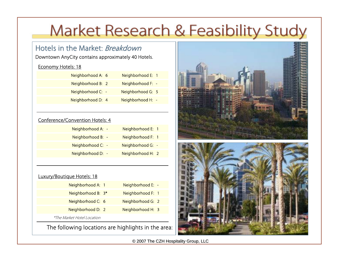### Hotels in the Market: Breakdown

Downtown AnyCity contains approximately 40 Hotels.

#### Economy Hotels: 18

| Neighborhood A: 6 | Neighborhood E: 1 |  |
|-------------------|-------------------|--|
| Neighborhood B: 2 | Neighborhood F: - |  |
| Neighborhood C: - | Neighborhood G: 5 |  |
| Neighborhood D: 4 | Neighborhood H: - |  |
|                   |                   |  |

#### Conference/Convention Hotels: 4

| Neighborhood A: - | Neighborhood E: 1 |  |
|-------------------|-------------------|--|
| Neighborhood B: - | Neighborhood F: 1 |  |
| Neighborhood C: - | Neighborhood G: - |  |
| Neighborhood D: - | Neighborhood H: 2 |  |
|                   |                   |  |

#### Luxury/Boutique Hotels: 18

| Neighborhood A: 1                 | Neighborhood E: - |  |
|-----------------------------------|-------------------|--|
| Neighborhood B: 3*                | Neighborhood F: 1 |  |
| Neighborhood C: 6                 | Neighborhood G: 2 |  |
| Neighborhood D: 2                 | Neighborhood H: 3 |  |
| <i>*The Market Hotel Location</i> |                   |  |

The following locations are highlights in the area:

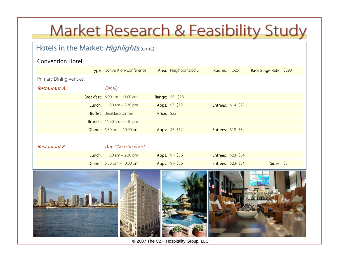### Hotels in the Market: Highlights (cont.)

#### Convention Hotel

|                               | Type: Convention/Conference                            |                    | Area: Neighborhood D | <b>Rooms: 1,625</b>       |                           | Rack Singe Rate: \$290 |  |
|-------------------------------|--------------------------------------------------------|--------------------|----------------------|---------------------------|---------------------------|------------------------|--|
| <b>Primary Dining Venues:</b> |                                                        |                    |                      |                           |                           |                        |  |
| Restaurant A:                 | Family                                                 |                    |                      |                           |                           |                        |  |
|                               | <b>Breakfast:</b> $6:00 \text{ am} - 11:00 \text{ am}$ |                    | Range: \$5 - \$18    |                           |                           |                        |  |
|                               | <b>Lunch:</b> $11:30$ am $- 2:30$ pm                   |                    | Apps: \$7-\$12       | <b>Entrees: \$14-\$25</b> |                           |                        |  |
|                               | <b>Buffet:</b> Breakfast/Dinner                        | <b>Price: \$22</b> |                      |                           |                           |                        |  |
|                               | <b>Brunch:</b> $11:30$ am $- 2:30$ pm                  |                    |                      |                           |                           |                        |  |
|                               | <b>Dinner:</b> $5:30 \text{ pm} - 10:00 \text{ pm}$    |                    | Apps: \$7-\$12       |                           | <b>Entrees: \$18-\$34</b> |                        |  |
|                               |                                                        |                    |                      |                           |                           |                        |  |
| Restaurant B:                 | AnyWhere Seafood                                       |                    |                      |                           |                           |                        |  |
|                               | <b>Lunch:</b> $11:30$ am $- 2:30$ pm                   |                    | Apps: \$7-\$36       |                           | <b>Entrees: \$23-\$34</b> |                        |  |
|                               | <b>Dinner:</b> $5:30 \text{ pm} - 10:00 \text{ pm}$    |                    | Apps: \$7-\$36       |                           | <b>Entrees: \$23-\$34</b> | Sides: \$5             |  |

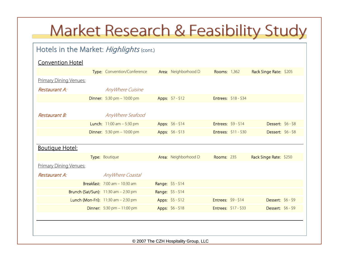### Hotels in the Market: Highlights (cont.)

#### Convention Hotel

|                               | Type: Convention/Conference                         | Area: Neighborhood D | <b>Rooms: 1,362</b>         |                      | Rack Singe Rate: \$205 |  |
|-------------------------------|-----------------------------------------------------|----------------------|-----------------------------|----------------------|------------------------|--|
| <b>Primary Dining Venues:</b> |                                                     |                      |                             |                      |                        |  |
| Restaurant A:                 | AnyWhere Cuisine                                    |                      |                             |                      |                        |  |
|                               | <b>Dinner:</b> $5:30 \text{ pm} - 10:00 \text{ pm}$ | Apps: \$7 - \$12     |                             | Entrees: \$18 - \$34 |                        |  |
|                               |                                                     |                      |                             |                      |                        |  |
| Restaurant B:                 | AnyWhere Seafood                                    |                      |                             |                      |                        |  |
|                               | <b>Lunch:</b> $11:00$ am $-5:30$ pm                 | Apps: \$6 - \$14     | Entrees: $$9 - $14$         |                      | Dessert: \$6 - \$8     |  |
|                               | <b>Dinner:</b> $5:30 \text{ pm} - 10:00 \text{ pm}$ | Apps: \$6 - \$13     |                             | Entrees: \$11 - \$30 | Dessert: \$6 - \$8     |  |
|                               |                                                     |                      |                             |                      |                        |  |
| <b>Boutique Hotel:</b>        |                                                     |                      |                             |                      |                        |  |
|                               | Type: Boutique                                      | Area: Neighborhood D | <b>Rooms: 235</b>           |                      | Rack Singe Rate: \$250 |  |
| <b>Primary Dining Venues:</b> |                                                     |                      |                             |                      |                        |  |
| Restaurant A:                 | AnyWhere Coastal                                    |                      |                             |                      |                        |  |
|                               | <b>Breakfast:</b> 7:00 am - 10:30 am                | Range: \$5 - \$14    |                             |                      |                        |  |
|                               | <b>Brunch (Sat/Sun):</b> 11:30 am - 2:30 pm         | Range: \$5 - \$14    |                             |                      |                        |  |
|                               | <b>Lunch (Mon-Fri):</b> $11:30$ am $- 2:30$ pm      | Apps: \$5 - \$12     | Entrees: $$9 - $14$         |                      | Dessert: \$6 - \$9     |  |
|                               | <b>Dinner:</b> $5:30 \text{ pm} - 11:00 \text{ pm}$ | Apps: \$6 - \$18     | <b>Entrees: \$17 - \$33</b> |                      | Dessert: \$6 - \$9     |  |
|                               |                                                     |                      |                             |                      |                        |  |
|                               |                                                     |                      |                             |                      |                        |  |
|                               |                                                     |                      |                             |                      |                        |  |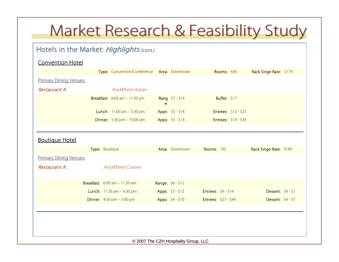### Hotels in the Market: Highlights (cont.)

#### Convention Hotel

|                               | Type: Convention/Conference Area: Downtown             |    |                   | <b>Rooms: 436</b>          | Rack Singe Rate: \$179 |  |  |  |
|-------------------------------|--------------------------------------------------------|----|-------------------|----------------------------|------------------------|--|--|--|
| <b>Primary Dining Venues:</b> |                                                        |    |                   |                            |                        |  |  |  |
| <b>Restaurant A:</b>          | AnyWhere-Italian                                       |    |                   |                            |                        |  |  |  |
|                               | <b>Breakfast:</b> $6:00 \text{ am} - 11:30 \text{ am}$ | e: | Rang \$7-\$14     | Buffet: \$17               |                        |  |  |  |
|                               | <b>Lunch:</b> $11:00$ am $-5:30$ pm                    |    | Apps: \$5 - \$14  | Entrees: \$13 - \$25       |                        |  |  |  |
|                               | <b>Dinner:</b> $5:30 \text{ pm} - 10:00 \text{ pm}$    |    | Apps: \$5 - \$14  | Entrees: \$14 - \$34       |                        |  |  |  |
|                               |                                                        |    |                   |                            |                        |  |  |  |
| <b>Boutique Hotel</b>         |                                                        |    |                   |                            |                        |  |  |  |
|                               | Type: Boutique                                         |    | Area: Downtown    | <b>Rooms: 102</b>          | Rack Singe Rate: \$189 |  |  |  |
| <b>Primary Dining Venues:</b> |                                                        |    |                   |                            |                        |  |  |  |
| Restaurant A:                 | AnyWhere Cuisine                                       |    |                   |                            |                        |  |  |  |
|                               | <b>Breakfast:</b> $6:00 \text{ am} - 11:30 \text{ am}$ |    | Range: \$6 - \$12 |                            |                        |  |  |  |
|                               | <b>Lunch:</b> $11:30$ am $-4:30$ pm                    |    | Apps: \$3 - \$13  | <b>Entrees: \$9 - \$14</b> | Dessert: \$4 - \$7     |  |  |  |
|                               | <b>Dinner:</b> $4:30 \text{ pm} - 5:00 \text{ pm}$     |    | Apps: \$4 - \$10  | Entrees: \$27 - \$49       | Dessert: \$4 - \$7     |  |  |  |
|                               |                                                        |    |                   |                            |                        |  |  |  |
|                               |                                                        |    |                   |                            |                        |  |  |  |
|                               |                                                        |    |                   |                            |                        |  |  |  |
|                               |                                                        |    |                   |                            |                        |  |  |  |
|                               | © 2007 The CZH Hospitality Group, LLC                  |    |                   |                            |                        |  |  |  |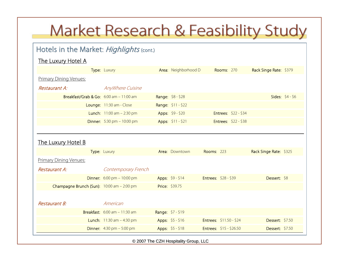### Hotels in the Market: Highlights (cont.)

#### The Luxury Hotel A

|                                            | Type: Luxury                                        | Area: Neighborhood D |                      | <b>Rooms: 270</b>           | Rack Singe Rate: \$379 |                         |
|--------------------------------------------|-----------------------------------------------------|----------------------|----------------------|-----------------------------|------------------------|-------------------------|
| <b>Primary Dining Venues:</b>              |                                                     |                      |                      |                             |                        |                         |
| Restaurant A:                              | AnyWhere Cuisine                                    |                      |                      |                             |                        |                         |
| Breakfast/Grab & Go: $6:00$ am $-11:00$ am |                                                     | Range: \$8 - \$28    |                      |                             |                        | <b>Sides:</b> $$4 - $6$ |
|                                            | Lounge: 11:30 am - Close                            | Range: \$11 - \$22   |                      |                             |                        |                         |
|                                            | <b>Lunch:</b> $11:00$ am $- 2:30$ pm                | Apps: \$9 - \$20     |                      | <b>Entrees: \$22 - \$34</b> |                        |                         |
|                                            | <b>Dinner:</b> $5:30 \text{ pm} - 10:00 \text{ pm}$ | Apps: \$11 - \$21    |                      | Entrees: \$22 - \$38        |                        |                         |
|                                            |                                                     |                      |                      |                             |                        |                         |
| <u>The Luxury Hotel B</u>                  |                                                     |                      |                      |                             |                        |                         |
|                                            | Type: Luxury                                        | Area: Downtown       | <b>Rooms: 223</b>    |                             | Rack Singe Rate: \$325 |                         |
| <b>Primary Dining Venues:</b>              |                                                     |                      |                      |                             |                        |                         |
| Restaurant A:                              | Contemporary French                                 |                      |                      |                             |                        |                         |
|                                            | <b>Dinner:</b> $6:00 \text{ pm} - 10:00 \text{ pm}$ | Apps: \$9 - \$14     | Entrees: \$28 - \$39 |                             | Dessert: \$8           |                         |
| Champagne Brunch (Sun): 10:00 am - 2:00 pm |                                                     | Price: \$39.75       |                      |                             |                        |                         |
|                                            |                                                     |                      |                      |                             |                        |                         |
| Restaurant B:                              | American                                            |                      |                      |                             |                        |                         |
|                                            | <b>Breakfast:</b> $6:00$ am $-11:30$ am             | Range: \$7 - \$19    |                      |                             |                        |                         |
|                                            | <b>Lunch:</b> $11:30$ am $-4:30$ pm                 | Apps: \$5 - \$16     |                      | Entrees: \$11.50 - \$24     | <b>Dessert: \$7.50</b> |                         |
|                                            | <b>Dinner:</b> $4:30 \text{ pm} - 5:00 \text{ pm}$  | Apps: \$5 - \$18     |                      | Entrees: \$15 - \$26.50     | <b>Dessert: \$7.50</b> |                         |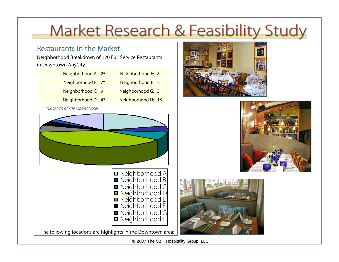### Restaurants in the Market

Neighborhood Breakdown of 120 Full Service Restaurants in Downtown AnyCity.

| Neighborhood A: 25 | Neighborhood E: 8  |  |
|--------------------|--------------------|--|
| Neighborhood B: 7* | Neighborhood F: 5  |  |
| Neighborhood C: 9  | Neighborhood G: 3  |  |
| Neighborhood D: 47 | Neighborhood H: 16 |  |
|                    |                    |  |









The following locations are highlights in the Downtown area:

© 2007 The CZH Hospitality Group, LLC

#### \*Location of The Market Hotel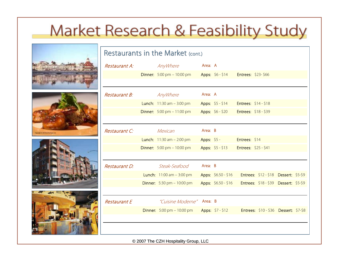







| Restaurants in the Market (cont.) |  |                                                             |             |                     |                             |                                       |  |  |
|-----------------------------------|--|-------------------------------------------------------------|-------------|---------------------|-----------------------------|---------------------------------------|--|--|
| Restaurant A:                     |  | AnyWhere                                                    | Area: A     |                     |                             |                                       |  |  |
|                                   |  | <b>Dinner:</b> $5:00 \text{ pm} - 10:00 \text{ pm}$         |             | Apps: \$6 - \$14    | <b>Entrees: \$23-\$66</b>   |                                       |  |  |
|                                   |  |                                                             |             |                     |                             |                                       |  |  |
| <i>Restaurant B:</i>              |  | AnyWhere                                                    | Area: A     |                     |                             |                                       |  |  |
|                                   |  | <b>Lunch:</b> $11:30$ am $-3:00$ pm                         |             | Apps: $$5 - $14$    | Entrees: \$14 - \$18        |                                       |  |  |
|                                   |  | <b>Dinner:</b> $5:00 \text{ pm} - 11:00 \text{ pm}$         |             | Apps: \$6 - \$20    | <b>Entrees: \$18 - \$39</b> |                                       |  |  |
|                                   |  |                                                             |             |                     |                             |                                       |  |  |
| Restaurant C:                     |  | Mexican                                                     | Area: B     |                     |                             |                                       |  |  |
|                                   |  | <b>Lunch:</b> $11:30$ am $- 2:00$ pm                        | Apps: \$5 - |                     | Entrees: \$14               |                                       |  |  |
|                                   |  | <b>Dinner:</b> $5:00 \text{ pm} - 10:00 \text{ pm}$         |             | Apps: $$5 - $13$    | <b>Entrees: \$25 - \$41</b> |                                       |  |  |
|                                   |  |                                                             |             |                     |                             |                                       |  |  |
| Restaurant D:                     |  | Steak-Seafood                                               | Area: B     |                     |                             |                                       |  |  |
|                                   |  | <b>Lunch:</b> $11:00$ am $-3:00$ pm                         |             | Apps: \$6.50 - \$16 |                             | Entrees: \$12 - \$18 Dessert: \$5-\$9 |  |  |
|                                   |  | <b>Dinner:</b> $5:30 \text{ pm} - 10:00 \text{ pm}$         |             | Apps: \$6.50 - \$16 |                             | Entrees: \$18 - \$39 Dessert: \$5-\$9 |  |  |
|                                   |  |                                                             |             |                     |                             |                                       |  |  |
| <b>Restaurant E</b>               |  | "Cuisine Moderne" Area: B                                   |             |                     |                             |                                       |  |  |
|                                   |  | <b>Dinner:</b> 5:00 pm $-$ 10:00 pm <b>Apps:</b> \$7 - \$12 |             |                     |                             | Entrees: \$10 - \$36 Dessert: \$7-\$8 |  |  |
|                                   |  |                                                             |             |                     |                             |                                       |  |  |
|                                   |  |                                                             |             |                     |                             |                                       |  |  |
|                                   |  |                                                             |             |                     |                             |                                       |  |  |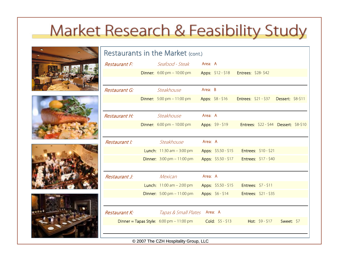







| Restaurants in the Market (cont.) |  |                                                            |         |                                         |  |                                               |            |  |
|-----------------------------------|--|------------------------------------------------------------|---------|-----------------------------------------|--|-----------------------------------------------|------------|--|
| <b>Restaurant F:</b>              |  | Seafood - Steak                                            | Area: A |                                         |  |                                               |            |  |
|                                   |  | <b>Dinner:</b> $6:00 \text{ pm} - 10:00 \text{ pm}$        |         | Apps: \$12 - \$18    Entrees: \$28-\$42 |  |                                               |            |  |
|                                   |  |                                                            |         |                                         |  |                                               |            |  |
| Restaurant G:                     |  | Steakhouse                                                 | Area: B |                                         |  |                                               |            |  |
|                                   |  | <b>Dinner:</b> $5:00 \text{ pm} - 11:00 \text{ pm}$        |         | Apps: \$8 - \$16                        |  | <b>Entrees: \$21 - \$37 Dessert: \$8-\$11</b> |            |  |
|                                   |  |                                                            |         |                                         |  |                                               |            |  |
| Restaurant H:                     |  | Steakhouse                                                 | Area: A |                                         |  |                                               |            |  |
|                                   |  | <b>Dinner:</b> $6:00 \text{ pm} - 10:00 \text{ pm}$        |         | Apps: \$9 - \$19                        |  | Entrees: \$22 - \$44 Dessert: \$8-\$10        |            |  |
|                                   |  |                                                            |         |                                         |  |                                               |            |  |
| Restaurant I:                     |  | Steakhouse                                                 | Area: A |                                         |  |                                               |            |  |
|                                   |  | <b>Lunch:</b> $11:30$ am $-3:00$ pm                        |         | Apps: $$5.50 - $15$                     |  | Entrees: $$10 - $21$                          |            |  |
|                                   |  | <b>Dinner:</b> $3:00 \text{ pm} - 11:00 \text{ pm}$        |         | Apps: \$5.50 - \$17                     |  | Entrees: \$17 - \$40                          |            |  |
|                                   |  |                                                            |         |                                         |  |                                               |            |  |
| Restaurant J:                     |  | Mexican                                                    | Area: A |                                         |  |                                               |            |  |
|                                   |  | <b>Lunch:</b> $11:00$ am $- 2:00$ pm                       |         | Apps: \$5.50 - \$15                     |  | Entrees: $$7 - $11$                           |            |  |
|                                   |  | <b>Dinner:</b> $5:00 \text{ pm} - 11:00 \text{ pm}$        |         | Apps: \$6 - \$14                        |  | <b>Entrees: \$21 - \$35</b>                   |            |  |
|                                   |  |                                                            |         |                                         |  |                                               |            |  |
| Restaurant K:                     |  | Tapas & Small Plates                                       |         | Area: A                                 |  |                                               |            |  |
|                                   |  | Dinner = Tapas Style: $6:00 \text{ pm} - 11:00 \text{ pm}$ |         | Cold: $$5 - $13$                        |  | Hot: $$9 - $17$                               | Sweet: \$7 |  |
|                                   |  |                                                            |         |                                         |  |                                               |            |  |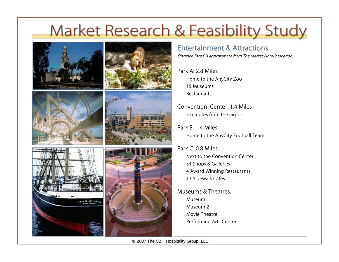









### Entertainment & Attractions

Distance listed is approximate from The Market Hotel's location.

Park A: 2.8 MilesHome to the AnyCity Zoo 15 MuseumsRestaurants

Convention Center: 1.4 Miles5 minutes from the airport

Park B: 1.4 MilesHome to the AnyCity Football Team

Park C: 0.8 MilesNext to the Convention Center54 Shops & Galleries 4 Award Winning Restaurants 13 Sidewalk Cafes

Museums & Theatres:Museum 1Museum 2Movie TheatrePerforming Arts Center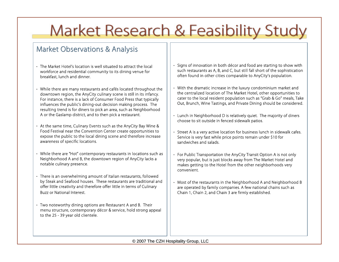### **Market Observations & Analysis**

- The Market Hotel's location is well situated to attract the local workforce and residential community to its dining venue for breakfast, lunch and dinner.
- While there are many restaurants and cafés located throughout the downtown region, the AnyCity culinary scene is still in its infancy. For instance, there is a lack of Consumer Food Press that typically influences the public's dining-out decision making process. The resulting trend is for diners to pick an area, such as Neighborhood A or the Gaslamp district, and to then pick a restaurant.
- At the same time, Culinary Events such as the AnyCity Bay Wine & Food Festival near the Convention Center create opportunities to expose the public to the local dining scene and therefore increase awareness of specific locations.
- While there are "Hot" contemporary restaurants in locations such as Neighborhood A and B, the downtown region of AnyCity lacks a notable culinary presence.
- There is an overwhelming amount of Italian restaurants, followed by Steak and Seafood houses. These restaurants are traditional and offer little creativity and therefore offer little in terms of Culinary Buzz or National Interest.
- Two noteworthy dining options are Restaurant A and B. Their menu structure, contemporary décor & service, hold strong appeal to the 25 - 39 year old clientele.
- Signs of innovation in both décor and food are starting to show with such restaurants as A, B, and C, but still fall short of the sophistication often found in other cities comparable to AnyCity's population.
- With the dramatic increase in the luxury condominium market and the centralized location of The Market Hotel, other opportunities to cater to the local resident population such as "Grab & Go" meals, Take Out, Brunch, Wine Tastings, and Private Dining should be considered.
- Lunch in Neighborhood D is relatively quiet. The majority of diners choose to sit outside in fenced sidewalk patios.
- Street A is a very active location for business lunch in sidewalk cafes. Service is very fast while price points remain under \$10 for sandwiches and salads.
- For Public Transportation the AnyCity Transit Option A is not only very popular, but is just blocks away from The Market Hotel and makes getting to the Hotel from the other neighborhoods very convenient.
- Most of the restaurants in the Neighborhood A and Neighborhood B are operated by family companies. A few national chains such as Chain 1, Chain 2, and Chain 3 are firmly established.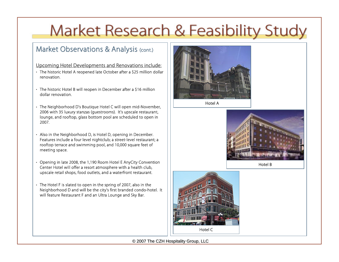### Market Observations & Analysis (cont.)

#### Upcoming Hotel Developments and Renovations include:

- The historic Hotel A reopened late October after a \$25 million dollar renovation.
- The historic Hotel B will reopen in December after a \$16 million dollar renovation.
- The Neighborhood D's Boutique Hotel C will open mid-November, 2006 with 35 luxury stanzas (guestrooms). It's upscale restaurant, lounge, and rooftop, glass bottom pool are scheduled to open in 2007.
- Also in the Neighborhood D, is Hotel D, opening in December. Features include a four level nightclub; a street-level restaurant; a rooftop terrace and swimming pool, and 10,000 square feet of meeting space.
- Opening in late 2008, the 1,190 Room Hotel E AnyCity Convention Center Hotel will offer a resort atmosphere with a health club, upscale retail shops, food outlets, and a waterfront restaurant.
- The Hotel F is slated to open in the spring of 2007, also in the Neighborhood D and will be the city's first branded condo-hotel. It will feature Restaurant F and an Ultra Lounge and Sky Bar.



Hotel A



Hotel B